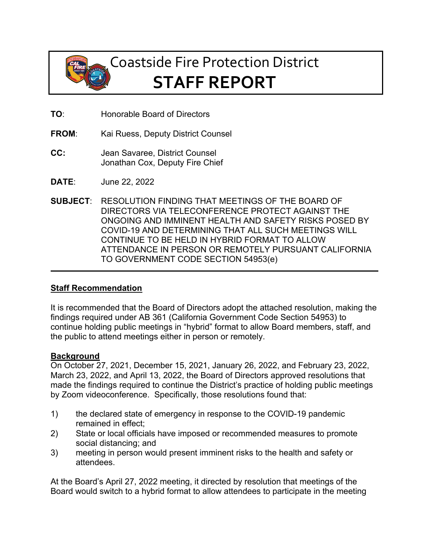

# Coastside Fire Protection District **STAFF REPORT**

- **TO**: Honorable Board of Directors
- **FROM:** Kai Ruess, Deputy District Counsel
- **CC:** Jean Savaree, District Counsel Jonathan Cox, Deputy Fire Chief
- **DATE**: June 22, 2022
- **SUBJECT**: RESOLUTION FINDING THAT MEETINGS OF THE BOARD OF DIRECTORS VIA TELECONFERENCE PROTECT AGAINST THE ONGOING AND IMMINENT HEALTH AND SAFETY RISKS POSED BY COVID-19 AND DETERMINING THAT ALL SUCH MEETINGS WILL CONTINUE TO BE HELD IN HYBRID FORMAT TO ALLOW ATTENDANCE IN PERSON OR REMOTELY PURSUANT CALIFORNIA TO GOVERNMENT CODE SECTION 54953(e)

### **Staff Recommendation**

It is recommended that the Board of Directors adopt the attached resolution, making the findings required under AB 361 (California Government Code Section 54953) to continue holding public meetings in "hybrid" format to allow Board members, staff, and the public to attend meetings either in person or remotely.

#### **Background**

On October 27, 2021, December 15, 2021, January 26, 2022, and February 23, 2022, March 23, 2022, and April 13, 2022, the Board of Directors approved resolutions that made the findings required to continue the District's practice of holding public meetings by Zoom videoconference. Specifically, those resolutions found that:

- 1) the declared state of emergency in response to the COVID-19 pandemic remained in effect;
- 2) State or local officials have imposed or recommended measures to promote social distancing; and
- 3) meeting in person would present imminent risks to the health and safety or attendees.

At the Board's April 27, 2022 meeting, it directed by resolution that meetings of the Board would switch to a hybrid format to allow attendees to participate in the meeting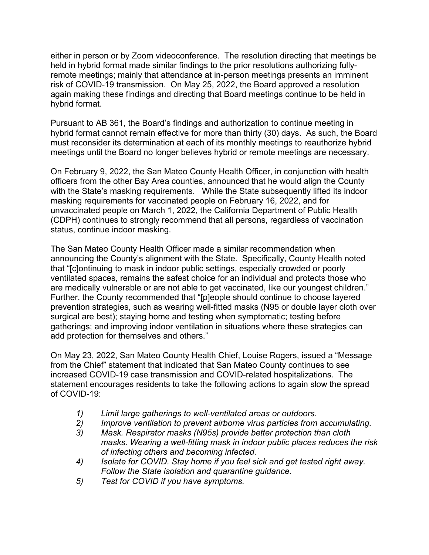either in person or by Zoom videoconference. The resolution directing that meetings be held in hybrid format made similar findings to the prior resolutions authorizing fullyremote meetings; mainly that attendance at in-person meetings presents an imminent risk of COVID-19 transmission. On May 25, 2022, the Board approved a resolution again making these findings and directing that Board meetings continue to be held in hybrid format.

Pursuant to AB 361, the Board's findings and authorization to continue meeting in hybrid format cannot remain effective for more than thirty (30) days. As such, the Board must reconsider its determination at each of its monthly meetings to reauthorize hybrid meetings until the Board no longer believes hybrid or remote meetings are necessary.

On February 9, 2022, the San Mateo County Health Officer, in conjunction with health officers from the other Bay Area counties, announced that he would align the County with the State's masking requirements. While the State subsequently lifted its indoor masking requirements for vaccinated people on February 16, 2022, and for unvaccinated people on March 1, 2022, the California Department of Public Health (CDPH) continues to strongly recommend that all persons, regardless of vaccination status, continue indoor masking.

The San Mateo County Health Officer made a similar recommendation when announcing the County's alignment with the State. Specifically, County Health noted that "[c]ontinuing to mask in indoor public settings, especially crowded or poorly ventilated spaces, remains the safest choice for an individual and protects those who are medically vulnerable or are not able to get vaccinated, like our youngest children." Further, the County recommended that "[p]eople should continue to choose layered prevention strategies, such as wearing well-fitted masks (N95 or double layer cloth over surgical are best); staying home and testing when symptomatic; testing before gatherings; and improving indoor ventilation in situations where these strategies can add protection for themselves and others."

On May 23, 2022, San Mateo County Health Chief, Louise Rogers, issued a "Message from the Chief" statement that indicated that San Mateo County continues to see increased COVID-19 case transmission and COVID-related hospitalizations. The statement encourages residents to take the following actions to again slow the spread of COVID-19:

- *1) Limit large gatherings to well-ventilated areas or outdoors.*
- *2) Improve ventilation to prevent airborne virus particles from accumulating.*
- *3) Mask. Respirator masks (N95s) provide better protection than cloth masks. Wearing a well-fitting mask in indoor public places reduces the risk of infecting others and becoming infected.*
- *4) Isolate for COVID. Stay home if you feel sick and get tested right away. Follow the State isolation and quarantine guidance.*
- *5) Test for COVID if you have symptoms.*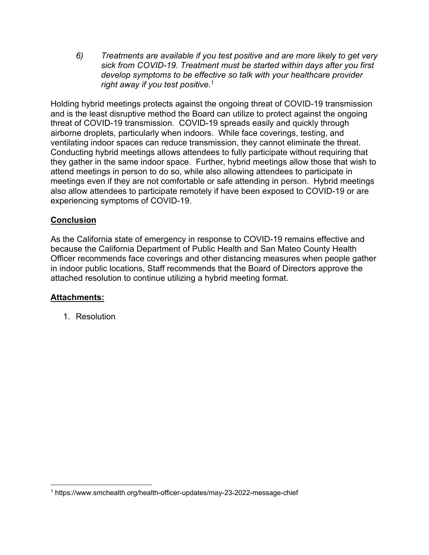*6) Treatments are available if you test positive and are more likely to get very sick from COVID-19. Treatment must be started within days after you first develop symptoms to be effective so talk with your healthcare provider right away if you test positive.*<sup>1</sup>

Holding hybrid meetings protects against the ongoing threat of COVID-19 transmission and is the least disruptive method the Board can utilize to protect against the ongoing threat of COVID-19 transmission. COVID-19 spreads easily and quickly through airborne droplets, particularly when indoors. While face coverings, testing, and ventilating indoor spaces can reduce transmission, they cannot eliminate the threat. Conducting hybrid meetings allows attendees to fully participate without requiring that they gather in the same indoor space. Further, hybrid meetings allow those that wish to attend meetings in person to do so, while also allowing attendees to participate in meetings even if they are not comfortable or safe attending in person. Hybrid meetings also allow attendees to participate remotely if have been exposed to COVID-19 or are experiencing symptoms of COVID-19.

#### **Conclusion**

As the California state of emergency in response to COVID-19 remains effective and because the California Department of Public Health and San Mateo County Health Officer recommends face coverings and other distancing measures when people gather in indoor public locations, Staff recommends that the Board of Directors approve the attached resolution to continue utilizing a hybrid meeting format.

#### **Attachments:**

1. Resolution

<sup>1</sup> https://www.smchealth.org/health-officer-updates/may-23-2022-message-chief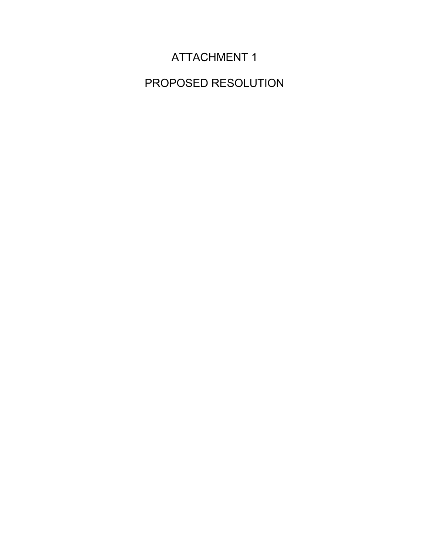## ATTACHMENT 1

PROPOSED RESOLUTION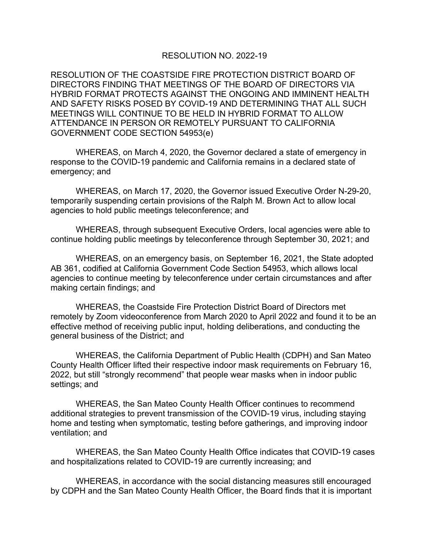#### RESOLUTION NO. 2022-19

RESOLUTION OF THE COASTSIDE FIRE PROTECTION DISTRICT BOARD OF DIRECTORS FINDING THAT MEETINGS OF THE BOARD OF DIRECTORS VIA HYBRID FORMAT PROTECTS AGAINST THE ONGOING AND IMMINENT HEALTH AND SAFETY RISKS POSED BY COVID-19 AND DETERMINING THAT ALL SUCH MEETINGS WILL CONTINUE TO BE HELD IN HYBRID FORMAT TO ALLOW ATTENDANCE IN PERSON OR REMOTELY PURSUANT TO CALIFORNIA GOVERNMENT CODE SECTION 54953(e)

WHEREAS, on March 4, 2020, the Governor declared a state of emergency in response to the COVID-19 pandemic and California remains in a declared state of emergency; and

WHEREAS, on March 17, 2020, the Governor issued Executive Order N-29-20, temporarily suspending certain provisions of the Ralph M. Brown Act to allow local agencies to hold public meetings teleconference; and

WHEREAS, through subsequent Executive Orders, local agencies were able to continue holding public meetings by teleconference through September 30, 2021; and

WHEREAS, on an emergency basis, on September 16, 2021, the State adopted AB 361, codified at California Government Code Section 54953, which allows local agencies to continue meeting by teleconference under certain circumstances and after making certain findings; and

WHEREAS, the Coastside Fire Protection District Board of Directors met remotely by Zoom videoconference from March 2020 to April 2022 and found it to be an effective method of receiving public input, holding deliberations, and conducting the general business of the District; and

WHEREAS, the California Department of Public Health (CDPH) and San Mateo County Health Officer lifted their respective indoor mask requirements on February 16, 2022, but still "strongly recommend" that people wear masks when in indoor public settings; and

WHEREAS, the San Mateo County Health Officer continues to recommend additional strategies to prevent transmission of the COVID-19 virus, including staying home and testing when symptomatic, testing before gatherings, and improving indoor ventilation; and

WHEREAS, the San Mateo County Health Office indicates that COVID-19 cases and hospitalizations related to COVID-19 are currently increasing; and

WHEREAS, in accordance with the social distancing measures still encouraged by CDPH and the San Mateo County Health Officer, the Board finds that it is important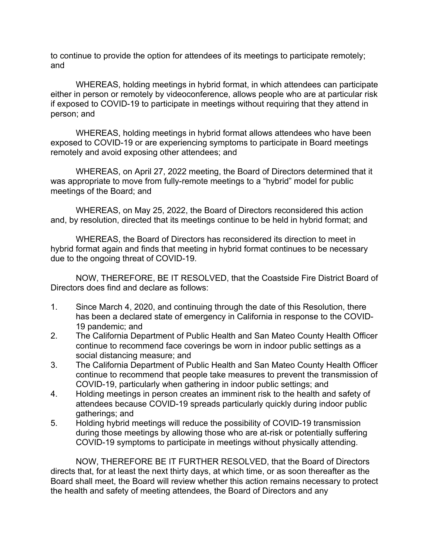to continue to provide the option for attendees of its meetings to participate remotely; and

WHEREAS, holding meetings in hybrid format, in which attendees can participate either in person or remotely by videoconference, allows people who are at particular risk if exposed to COVID-19 to participate in meetings without requiring that they attend in person; and

WHEREAS, holding meetings in hybrid format allows attendees who have been exposed to COVID-19 or are experiencing symptoms to participate in Board meetings remotely and avoid exposing other attendees; and

WHEREAS, on April 27, 2022 meeting, the Board of Directors determined that it was appropriate to move from fully-remote meetings to a "hybrid" model for public meetings of the Board; and

WHEREAS, on May 25, 2022, the Board of Directors reconsidered this action and, by resolution, directed that its meetings continue to be held in hybrid format; and

WHEREAS, the Board of Directors has reconsidered its direction to meet in hybrid format again and finds that meeting in hybrid format continues to be necessary due to the ongoing threat of COVID-19.

NOW, THEREFORE, BE IT RESOLVED, that the Coastside Fire District Board of Directors does find and declare as follows:

- 1. Since March 4, 2020, and continuing through the date of this Resolution, there has been a declared state of emergency in California in response to the COVID-19 pandemic; and
- 2. The California Department of Public Health and San Mateo County Health Officer continue to recommend face coverings be worn in indoor public settings as a social distancing measure; and
- 3. The California Department of Public Health and San Mateo County Health Officer continue to recommend that people take measures to prevent the transmission of COVID-19, particularly when gathering in indoor public settings; and
- 4. Holding meetings in person creates an imminent risk to the health and safety of attendees because COVID-19 spreads particularly quickly during indoor public gatherings; and
- 5. Holding hybrid meetings will reduce the possibility of COVID-19 transmission during those meetings by allowing those who are at-risk or potentially suffering COVID-19 symptoms to participate in meetings without physically attending.

NOW, THEREFORE BE IT FURTHER RESOLVED, that the Board of Directors directs that, for at least the next thirty days, at which time, or as soon thereafter as the Board shall meet, the Board will review whether this action remains necessary to protect the health and safety of meeting attendees, the Board of Directors and any